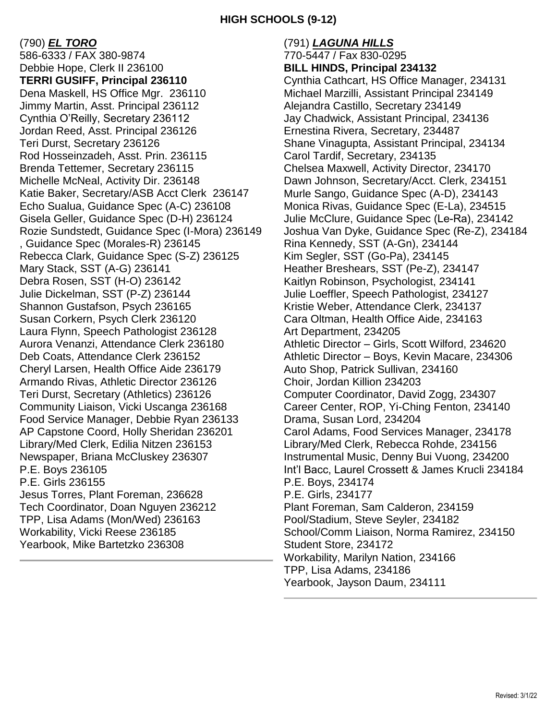(790) *EL TORO* 586-6333 / FAX 380-9874 Debbie Hope, Clerk II 236100 **TERRI GUSIFF, Principal 236110** Dena Maskell, HS Office Mgr. 236110 Jimmy Martin, Asst. Principal 236112 Cynthia O'Reilly, Secretary 236112 Jordan Reed, Asst. Principal 236126 Teri Durst, Secretary 236126 Rod Hosseinzadeh, Asst. Prin. 236115 Brenda Tettemer, Secretary 236115 Michelle McNeal, Activity Dir. 236148 Katie Baker, Secretary/ASB Acct Clerk 236147 Echo Sualua, Guidance Spec (A-C) 236108 Gisela Geller, Guidance Spec (D-H) 236124 Rozie Sundstedt, Guidance Spec (I-Mora) 236149 , Guidance Spec (Morales-R) 236145 Rebecca Clark, Guidance Spec (S-Z) 236125 Mary Stack, SST (A-G) 236141 Debra Rosen, SST (H-O) 236142 Julie Dickelman, SST (P-Z) 236144 Shannon Gustafson, Psych 236165 Susan Corkern, Psych Clerk 236120 Laura Flynn, Speech Pathologist 236128 Aurora Venanzi, Attendance Clerk 236180 Deb Coats, Attendance Clerk 236152 Cheryl Larsen, Health Office Aide 236179 Armando Rivas, Athletic Director 236126 Teri Durst, Secretary (Athletics) 236126 Community Liaison, Vicki Uscanga 236168 Food Service Manager, Debbie Ryan 236133 AP Capstone Coord, Holly Sheridan 236201 Library/Med Clerk, Edilia Nitzen 236153 Newspaper, Briana McCluskey 236307 P.E. Boys 236105 P.E. Girls 236155 Jesus Torres, Plant Foreman, 236628 Tech Coordinator, Doan Nguyen 236212 TPP, Lisa Adams (Mon/Wed) 236163 Workability, Vicki Reese 236185 Yearbook, Mike Bartetzko 236308

(791) *LAGUNA HILLS* 770-5447 / Fax 830-0295 **BILL HINDS, Principal 234132** Cynthia Cathcart, HS Office Manager, 234131 Michael Marzilli, Assistant Principal 234149 Alejandra Castillo, Secretary 234149 Jay Chadwick, Assistant Principal, 234136 Ernestina Rivera, Secretary, 234487 Shane Vinagupta, Assistant Principal, 234134 Carol Tardif, Secretary, 234135 Chelsea Maxwell, Activity Director, 234170 Dawn Johnson, Secretary/Acct. Clerk, 234151 Murle Sango, Guidance Spec (A-D), 234143 Monica Rivas, Guidance Spec (E-La), 234515 Julie McClure, Guidance Spec (Le-Ra), 234142 Joshua Van Dyke, Guidance Spec (Re-Z), 234184 Rina Kennedy, SST (A-Gn), 234144 Kim Segler, SST (Go-Pa), 234145 Heather Breshears, SST (Pe-Z), 234147 Kaitlyn Robinson, Psychologist, 234141 Julie Loeffler, Speech Pathologist, 234127 Kristie Weber, Attendance Clerk, 234137 Cara Oltman, Health Office Aide, 234163 Art Department, 234205 Athletic Director – Girls, Scott Wilford, 234620 Athletic Director – Boys, Kevin Macare, 234306 Auto Shop, Patrick Sullivan, 234160 Choir, Jordan Killion 234203 Computer Coordinator, David Zogg, 234307 Career Center, ROP, Yi-Ching Fenton, 234140 Drama, Susan Lord, 234204 Carol Adams, Food Services Manager, 234178 Library/Med Clerk, Rebecca Rohde, 234156 Instrumental Music, Denny Bui Vuong, 234200 Int'l Bacc, Laurel Crossett & James Krucli 234184 P.E. Boys, 234174 P.E. Girls, 234177 Plant Foreman, Sam Calderon, 234159 Pool/Stadium, Steve Seyler, 234182 School/Comm Liaison, Norma Ramirez, 234150 Student Store, 234172 Workability, Marilyn Nation, 234166 TPP, Lisa Adams, 234186 Yearbook, Jayson Daum, 234111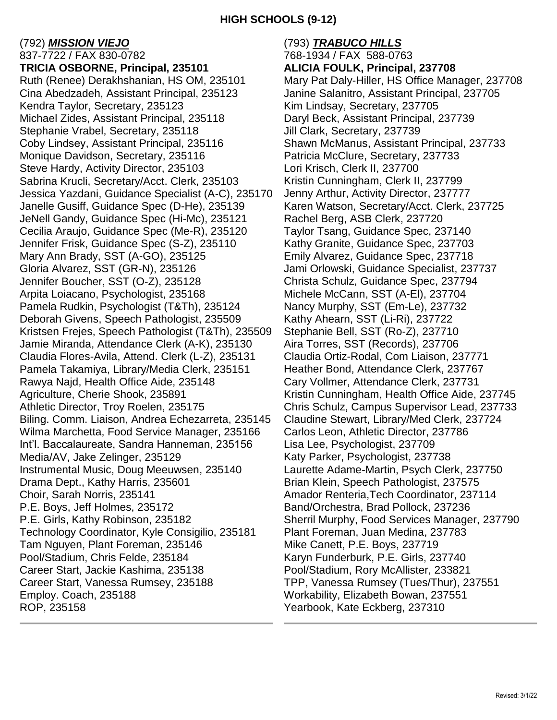### (792) *MISSION VIEJO*

837-7722 / FAX 830-0782 **TRICIA OSBORNE, Principal, 235101** Ruth (Renee) Derakhshanian, HS OM, 235101 Cina Abedzadeh, Assistant Principal, 235123 Kendra Taylor, Secretary, 235123 Michael Zides, Assistant Principal, 235118 Stephanie Vrabel, Secretary, 235118 Coby Lindsey, Assistant Principal, 235116 Monique Davidson, Secretary, 235116 Steve Hardy, Activity Director, 235103 Sabrina Krucli, Secretary/Acct. Clerk, 235103 Jessica Yazdani, Guidance Specialist (A-C), 235170 Janelle Gusiff, Guidance Spec (D-He), 235139 JeNell Gandy, Guidance Spec (Hi-Mc), 235121 Cecilia Araujo, Guidance Spec (Me-R), 235120 Jennifer Frisk, Guidance Spec (S-Z), 235110 Mary Ann Brady, SST (A-GO), 235125 Gloria Alvarez, SST (GR-N), 235126 Jennifer Boucher, SST (O-Z), 235128 Arpita Loiacano, Psychologist, 235168 Pamela Rudkin, Psychologist (T&Th), 235124 Deborah Givens, Speech Pathologist, 235509 Kristsen Frejes, Speech Pathologist (T&Th), 235509 Jamie Miranda, Attendance Clerk (A-K), 235130 Claudia Flores-Avila, Attend. Clerk (L-Z), 235131 Pamela Takamiya, Library/Media Clerk, 235151 Rawya Najd, Health Office Aide, 235148 Agriculture, Cherie Shook, 235891 Athletic Director, Troy Roelen, 235175 Biling. Comm. Liaison, Andrea Echezarreta, 235145 Wilma Marchetta, Food Service Manager, 235166 Int'l. Baccalaureate, Sandra Hanneman, 235156 Media/AV, Jake Zelinger, 235129 Instrumental Music, Doug Meeuwsen, 235140 Drama Dept., Kathy Harris, 235601 Choir, Sarah Norris, 235141 P.E. Boys, Jeff Holmes, 235172 P.E. Girls, Kathy Robinson, 235182 Technology Coordinator, Kyle Consigilio, 235181 Tam Nguyen, Plant Foreman, 235146 Pool/Stadium, Chris Felde, 235184 Career Start, Jackie Kashima, 235138 Career Start, Vanessa Rumsey, 235188 Employ. Coach, 235188 ROP, 235158

### (793) *TRABUCO HILLS* 768-1934 / FAX 588-0763 **ALICIA FOULK, Principal, 237708** Mary Pat Daly-Hiller, HS Office Manager, 237708 Janine Salanitro, Assistant Principal, 237705 Kim Lindsay, Secretary, 237705 Daryl Beck, Assistant Principal, 237739 Jill Clark, Secretary, 237739 Shawn McManus, Assistant Principal, 237733 Patricia McClure, Secretary, 237733 Lori Krisch, Clerk II, 237700 Kristin Cunningham, Clerk II, 237799 Jenny Arthur, Activity Director, 237777 Karen Watson, Secretary/Acct. Clerk, 237725 Rachel Berg, ASB Clerk, 237720 Taylor Tsang, Guidance Spec, 237140 Kathy Granite, Guidance Spec, 237703 Emily Alvarez, Guidance Spec, 237718 Jami Orlowski, Guidance Specialist, 237737 Christa Schulz, Guidance Spec, 237794 Michele McCann, SST (A-El), 237704 Nancy Murphy, SST (Em-Le), 237732 Kathy Ahearn, SST (Li-Ri), 237722 Stephanie Bell, SST (Ro-Z), 237710 Aira Torres, SST (Records), 237706 Claudia Ortiz-Rodal, Com Liaison, 237771 Heather Bond, Attendance Clerk, 237767 Cary Vollmer, Attendance Clerk, 237731 Kristin Cunningham, Health Office Aide, 237745 Chris Schulz, Campus Supervisor Lead, 237733 Claudine Stewart, Library/Med Clerk, 237724 Carlos Leon, Athletic Director, 237786 Lisa Lee, Psychologist, 237709 Katy Parker, Psychologist, 237738 Laurette Adame-Martin, Psych Clerk, 237750 Brian Klein, Speech Pathologist, 237575 Amador Renteria,Tech Coordinator, 237114 Band/Orchestra, Brad Pollock, 237236 Sherril Murphy, Food Services Manager, 237790 Plant Foreman, Juan Medina, 237783 Mike Canett, P.E. Boys, 237719 Karyn Funderburk, P.E. Girls, 237740 Pool/Stadium, Rory McAllister, 233821 TPP, Vanessa Rumsey (Tues/Thur), 237551 Workability, Elizabeth Bowan, 237551 Yearbook, Kate Eckberg, 237310